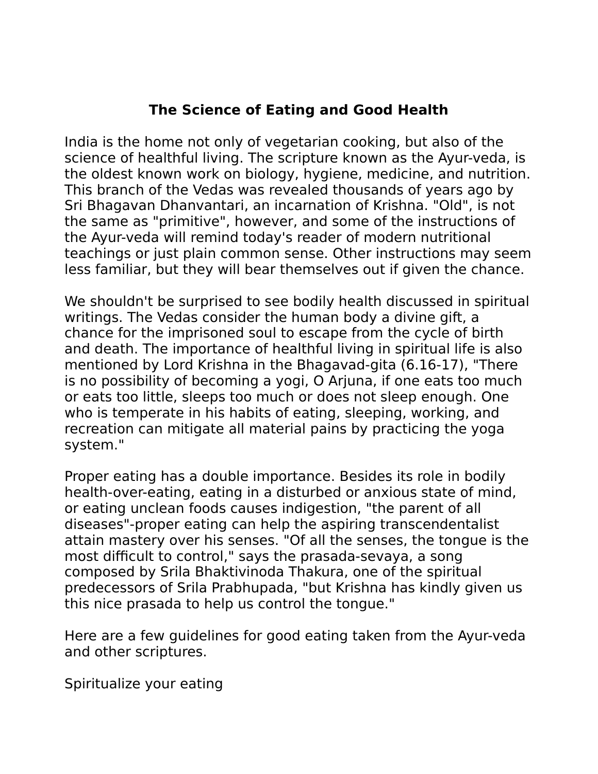## **The Science of Eating and Good Health**

India is the home not only of vegetarian cooking, but also of the science of healthful living. The scripture known as the Ayur-veda, is the oldest known work on biology, hygiene, medicine, and nutrition. This branch of the Vedas was revealed thousands of years ago by Sri Bhagavan Dhanvantari, an incarnation of Krishna. "Old", is not the same as "primitive", however, and some of the instructions of the Ayur-veda will remind today's reader of modern nutritional teachings or just plain common sense. Other instructions may seem less familiar, but they will bear themselves out if given the chance.

We shouldn't be surprised to see bodily health discussed in spiritual writings. The Vedas consider the human body a divine gift, a chance for the imprisoned soul to escape from the cycle of birth and death. The importance of healthful living in spiritual life is also mentioned by Lord Krishna in the Bhagavad-gita (6.16-17), "There is no possibility of becoming a yogi, O Arjuna, if one eats too much or eats too little, sleeps too much or does not sleep enough. One who is temperate in his habits of eating, sleeping, working, and recreation can mitigate all material pains by practicing the yoga system."

Proper eating has a double importance. Besides its role in bodily health-over-eating, eating in a disturbed or anxious state of mind, or eating unclean foods causes indigestion, "the parent of all diseases"-proper eating can help the aspiring transcendentalist attain mastery over his senses. "Of all the senses, the tongue is the most difficult to control," says the prasada-sevaya, a song composed by Srila Bhaktivinoda Thakura, one of the spiritual predecessors of Srila Prabhupada, "but Krishna has kindly given us this nice prasada to help us control the tongue."

Here are a few guidelines for good eating taken from the Ayur-veda and other scriptures.

Spiritualize your eating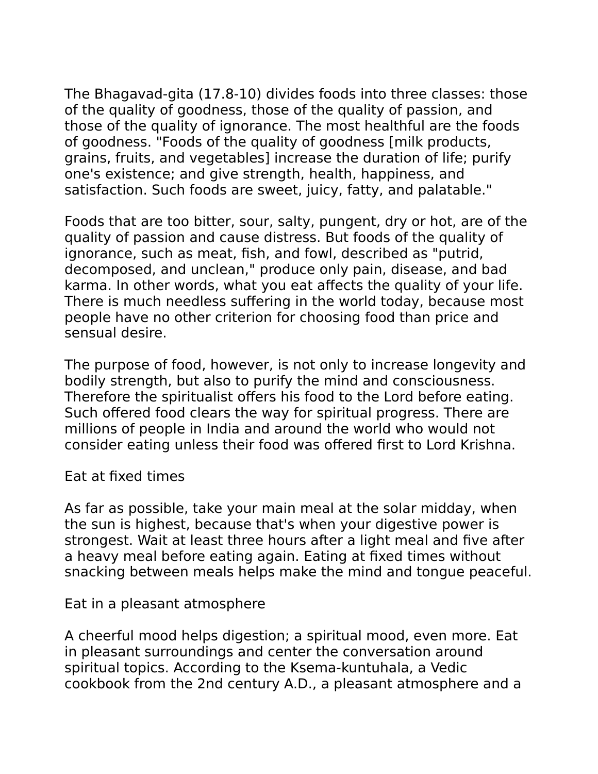The Bhagavad-gita (17.8-10) divides foods into three classes: those of the quality of goodness, those of the quality of passion, and those of the quality of ignorance. The most healthful are the foods of goodness. "Foods of the quality of goodness [milk products, grains, fruits, and vegetables] increase the duration of life; purify one's existence; and give strength, health, happiness, and satisfaction. Such foods are sweet, juicy, fatty, and palatable."

Foods that are too bitter, sour, salty, pungent, dry or hot, are of the quality of passion and cause distress. But foods of the quality of ignorance, such as meat, fish, and fowl, described as "putrid, decomposed, and unclean," produce only pain, disease, and bad karma. In other words, what you eat affects the quality of your life. There is much needless suffering in the world today, because most people have no other criterion for choosing food than price and sensual desire.

The purpose of food, however, is not only to increase longevity and bodily strength, but also to purify the mind and consciousness. Therefore the spiritualist offers his food to the Lord before eating. Such offered food clears the way for spiritual progress. There are millions of people in India and around the world who would not consider eating unless their food was offered first to Lord Krishna.

Eat at fixed times

As far as possible, take your main meal at the solar midday, when the sun is highest, because that's when your digestive power is strongest. Wait at least three hours after a light meal and five after a heavy meal before eating again. Eating at fixed times without snacking between meals helps make the mind and tongue peaceful.

Eat in a pleasant atmosphere

A cheerful mood helps digestion; a spiritual mood, even more. Eat in pleasant surroundings and center the conversation around spiritual topics. According to the Ksema-kuntuhala, a Vedic cookbook from the 2nd century A.D., a pleasant atmosphere and a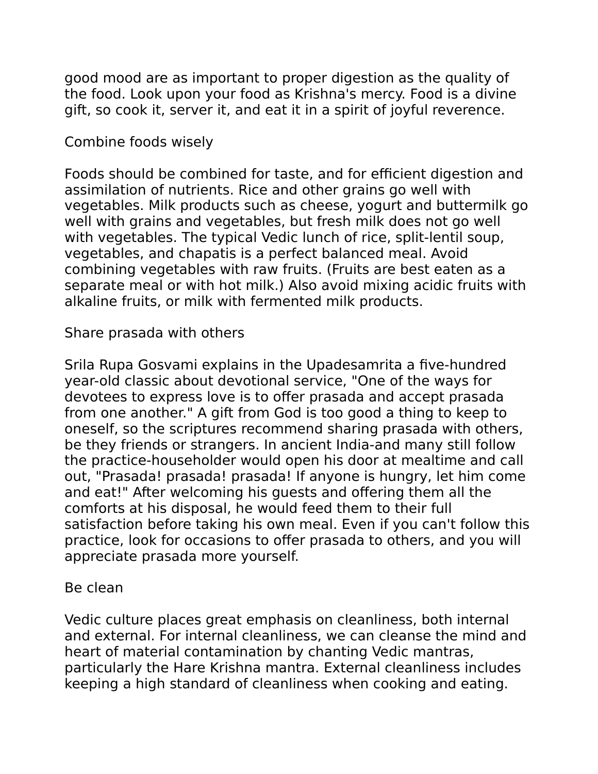good mood are as important to proper digestion as the quality of the food. Look upon your food as Krishna's mercy. Food is a divine gift, so cook it, server it, and eat it in a spirit of joyful reverence.

Combine foods wisely

Foods should be combined for taste, and for efficient digestion and assimilation of nutrients. Rice and other grains go well with vegetables. Milk products such as cheese, yogurt and buttermilk go well with grains and vegetables, but fresh milk does not go well with vegetables. The typical Vedic lunch of rice, split-lentil soup, vegetables, and chapatis is a perfect balanced meal. Avoid combining vegetables with raw fruits. (Fruits are best eaten as a separate meal or with hot milk.) Also avoid mixing acidic fruits with alkaline fruits, or milk with fermented milk products.

Share prasada with others

Srila Rupa Gosvami explains in the Upadesamrita a five-hundred year-old classic about devotional service, "One of the ways for devotees to express love is to offer prasada and accept prasada from one another." A gift from God is too good a thing to keep to oneself, so the scriptures recommend sharing prasada with others, be they friends or strangers. In ancient India-and many still follow the practice-householder would open his door at mealtime and call out, "Prasada! prasada! prasada! If anyone is hungry, let him come and eat!" After welcoming his guests and offering them all the comforts at his disposal, he would feed them to their full satisfaction before taking his own meal. Even if you can't follow this practice, look for occasions to offer prasada to others, and you will appreciate prasada more yourself.

## Be clean

Vedic culture places great emphasis on cleanliness, both internal and external. For internal cleanliness, we can cleanse the mind and heart of material contamination by chanting Vedic mantras, particularly the Hare Krishna mantra. External cleanliness includes keeping a high standard of cleanliness when cooking and eating.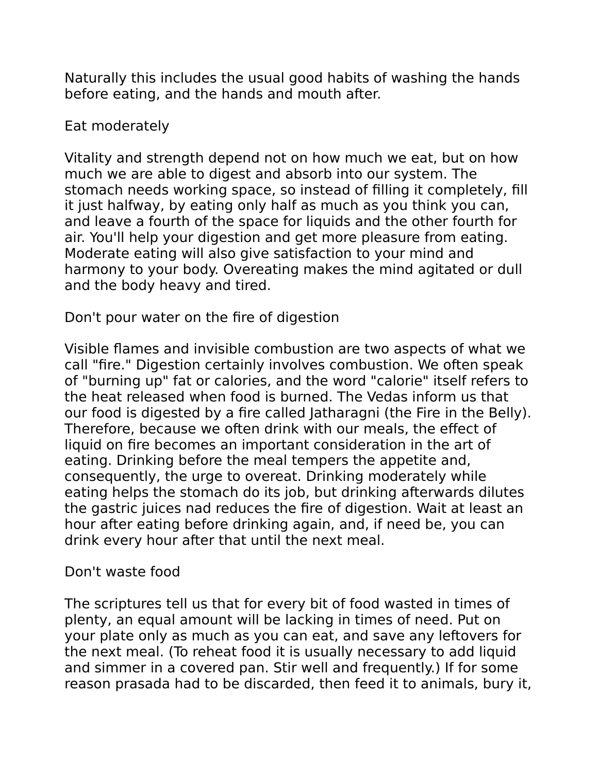Naturally this includes the usual good habits of washing the hands before eating, and the hands and mouth after.

## Eat moderately

Vitality and strength depend not on how much we eat, but on how much we are able to digest and absorb into our system. The stomach needs working space, so instead of filling it completely, fill it just halfway, by eating only half as much as you think you can, and leave a fourth of the space for liquids and the other fourth for air. You'll help your digestion and get more pleasure from eating. Moderate eating will also give satisfaction to your mind and harmony to your body. Overeating makes the mind agitated or dull and the body heavy and tired.

Don't pour water on the fire of digestion

Visible flames and invisible combustion are two aspects of what we call "fire." Digestion certainly involves combustion. We often speak of "burning up" fat or calories, and the word "calorie" itself refers to the heat released when food is burned. The Vedas inform us that our food is digested by a fire called Jatharagni (the Fire in the Belly). Therefore, because we often drink with our meals, the effect of liquid on fire becomes an important consideration in the art of eating. Drinking before the meal tempers the appetite and, consequently, the urge to overeat. Drinking moderately while eating helps the stomach do its job, but drinking afterwards dilutes the gastric juices nad reduces the fire of digestion. Wait at least an hour after eating before drinking again, and, if need be, you can drink every hour after that until the next meal.

## Don't waste food

The scriptures tell us that for every bit of food wasted in times of plenty, an equal amount will be lacking in times of need. Put on your plate only as much as you can eat, and save any leftovers for the next meal. (To reheat food it is usually necessary to add liquid and simmer in a covered pan. Stir well and frequently.) If for some reason prasada had to be discarded, then feed it to animals, bury it,